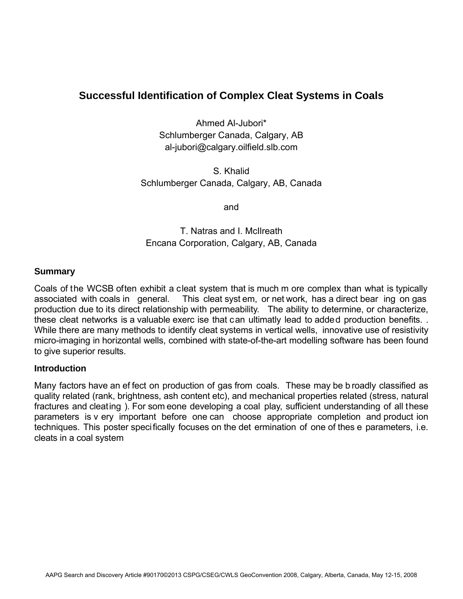# **Successful Identification of Complex Cleat Systems in Coals**

Ahmed Al-Jubori\* Schlumberger Canada, Calgary, AB al-jubori@calgary.oilfield.slb.com

S. Khalid Schlumberger Canada, Calgary, AB, Canada

and

T. Natras and I. McIlreath Encana Corporation, Calgary, AB, Canada

### **Summary**

Coals of the WCSB often exhibit a cleat system that is much m ore complex than what is typically associated with coals in general. This cleat syst em, or net work, has a direct bear ing on gas production due to its direct relationship with permeability. The ability to determine, or characterize, these cleat networks is a valuable exerc ise that can ultimatly lead to added production benefits. . While there are many methods to identify cleat systems in vertical wells, innovative use of resistivity micro-imaging in horizontal wells, combined with state-of-the-art modelling software has been found to give superior results.

### **Introduction**

Many factors have an ef fect on production of gas from coals. These may be b roadly classified as quality related (rank, brightness, ash content etc), and mechanical properties related (stress, natural fractures and cleating ). For som eone developing a coal play, sufficient understanding of all these parameters is v ery important before one can choose appropriate completion and product ion techniques. This poster specifically focuses on the det ermination of one of thes e parameters, i.e. cleats in a coal system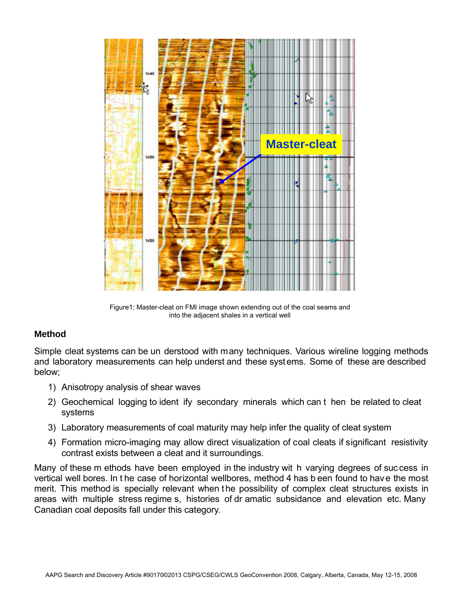

Figure1: Master-cleat on FMI image shown extending out of the coal seams and into the adjacent shales in a vertical well

## **Method**

Simple cleat systems can be un derstood with many techniques. Various wireline logging methods and laboratory measurements can help underst and these systems. Some of these are described below;

- 1) Anisotropy analysis of shear waves
- 2) Geochemical logging to ident ify secondary minerals which can t hen be related to cleat systems
- 3) Laboratory measurements of coal maturity may help infer the quality of cleat system
- 4) Formation micro-imaging may allow direct visualization of coal cleats if significant resistivity contrast exists between a cleat and it surroundings.

Many of these m ethods have been employed in the industry wit h varying degrees of suc cess in vertical well bores. In t he case of horizontal wellbores, method 4 has b een found to have the most merit. This method is specially relevant when the possibility of complex cleat structures exists in areas with multiple stress regime s, histories of dr amatic subsidance and elevation etc. Many Canadian coal deposits fall under this category.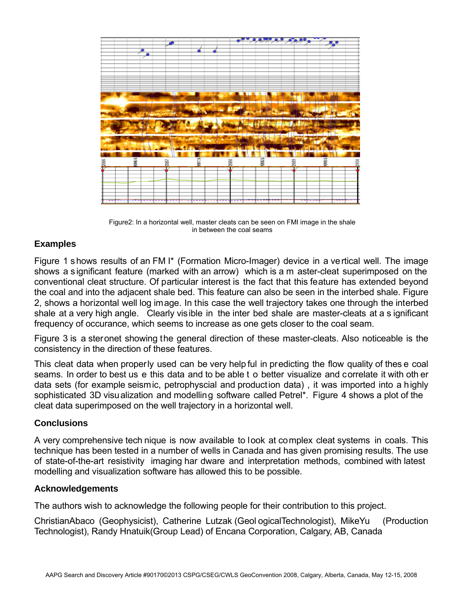

Figure2: In a horizontal well, master cleats can be seen on FMI image in the shale in between the coal seams

### **Examples**

Figure 1 shows results of an FM I\* (Formation Micro-Imager) device in a vertical well. The image shows a significant feature (marked with an arrow) which is a m aster-cleat superimposed on the conventional cleat structure. Of particular interest is the fact that this feature has extended beyond the coal and into the adjacent shale bed. This feature can also be seen in the interbed shale. Figure 2, shows a horizontal well log image. In this case the well trajectory takes one through the interbed shale at a very high angle. Clearly visible in the inter bed shale are master-cleats at a s ignificant frequency of occurance, which seems to increase as one gets closer to the coal seam.

Figure 3 is a steronet showing the general direction of these master-cleats. Also noticeable is the consistency in the direction of these features.

This cleat data when properly used can be very help ful in predicting the flow quality of thes e coal seams. In order to best us e this data and to be able t o better visualize and correlate it with oth er data sets (for example seismic, petrophyscial and production data) , it was imported into a highly sophisticated 3D visualization and modelling software called Petrel\*. Figure 4 shows a plot of the cleat data superimposed on the well trajectory in a horizontal well.

### **Conclusions**

A very comprehensive tech nique is now available to look at complex cleat systems in coals. This technique has been tested in a number of wells in Canada and has given promising results. The use of state-of-the-art resistivity imaging har dware and interpretation methods, combined with latest modelling and visualization software has allowed this to be possible.

### **Acknowledgements**

The authors wish to acknowledge the following people for their contribution to this project.

ChristianAbaco (Geophysicist), Catherine Lutzak (Geol ogicalTechnologist), MikeYu (Production Technologist), Randy Hnatuik(Group Lead) of Encana Corporation, Calgary, AB, Canada